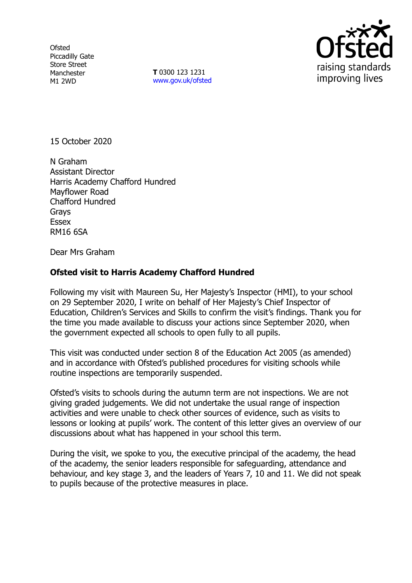**Ofsted** Piccadilly Gate Store Street Manchester M1 2WD

**T** 0300 123 1231 [www.gov.uk/ofsted](http://www.gov.uk/ofsted)



15 October 2020

N Graham Assistant Director Harris Academy Chafford Hundred Mayflower Road Chafford Hundred Grays Essex RM16 6SA

Dear Mrs Graham

## **Ofsted visit to Harris Academy Chafford Hundred**

Following my visit with Maureen Su, Her Majesty's Inspector (HMI), to your school on 29 September 2020, I write on behalf of Her Majesty's Chief Inspector of Education, Children's Services and Skills to confirm the visit's findings. Thank you for the time you made available to discuss your actions since September 2020, when the government expected all schools to open fully to all pupils.

This visit was conducted under section 8 of the Education Act 2005 (as amended) and in accordance with Ofsted's published procedures for visiting schools while routine inspections are temporarily suspended.

Ofsted's visits to schools during the autumn term are not inspections. We are not giving graded judgements. We did not undertake the usual range of inspection activities and were unable to check other sources of evidence, such as visits to lessons or looking at pupils' work. The content of this letter gives an overview of our discussions about what has happened in your school this term.

During the visit, we spoke to you, the executive principal of the academy, the head of the academy, the senior leaders responsible for safeguarding, attendance and behaviour, and key stage 3, and the leaders of Years 7, 10 and 11. We did not speak to pupils because of the protective measures in place.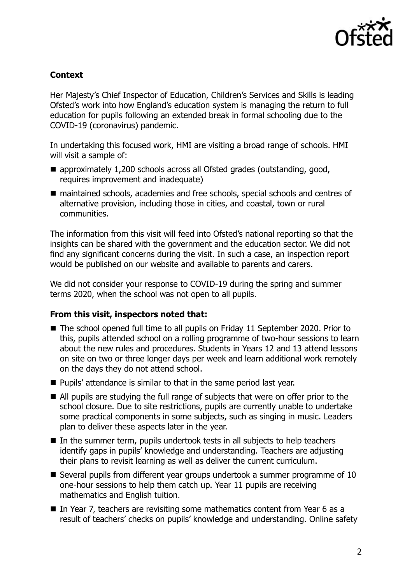

## **Context**

Her Majesty's Chief Inspector of Education, Children's Services and Skills is leading Ofsted's work into how England's education system is managing the return to full education for pupils following an extended break in formal schooling due to the COVID-19 (coronavirus) pandemic.

In undertaking this focused work, HMI are visiting a broad range of schools. HMI will visit a sample of:

- approximately 1,200 schools across all Ofsted grades (outstanding, good, requires improvement and inadequate)
- maintained schools, academies and free schools, special schools and centres of alternative provision, including those in cities, and coastal, town or rural communities.

The information from this visit will feed into Ofsted's national reporting so that the insights can be shared with the government and the education sector. We did not find any significant concerns during the visit. In such a case, an inspection report would be published on our website and available to parents and carers.

We did not consider your response to COVID-19 during the spring and summer terms 2020, when the school was not open to all pupils.

## **From this visit, inspectors noted that:**

- The school opened full time to all pupils on Friday 11 September 2020. Prior to this, pupils attended school on a rolling programme of two-hour sessions to learn about the new rules and procedures. Students in Years 12 and 13 attend lessons on site on two or three longer days per week and learn additional work remotely on the days they do not attend school.
- **Pupils'** attendance is similar to that in the same period last year.
- All pupils are studying the full range of subjects that were on offer prior to the school closure. Due to site restrictions, pupils are currently unable to undertake some practical components in some subjects, such as singing in music. Leaders plan to deliver these aspects later in the year.
- In the summer term, pupils undertook tests in all subjects to help teachers identify gaps in pupils' knowledge and understanding. Teachers are adjusting their plans to revisit learning as well as deliver the current curriculum.
- Several pupils from different year groups undertook a summer programme of 10 one-hour sessions to help them catch up. Year 11 pupils are receiving mathematics and English tuition.
- In Year 7, teachers are revisiting some mathematics content from Year 6 as a result of teachers' checks on pupils' knowledge and understanding. Online safety